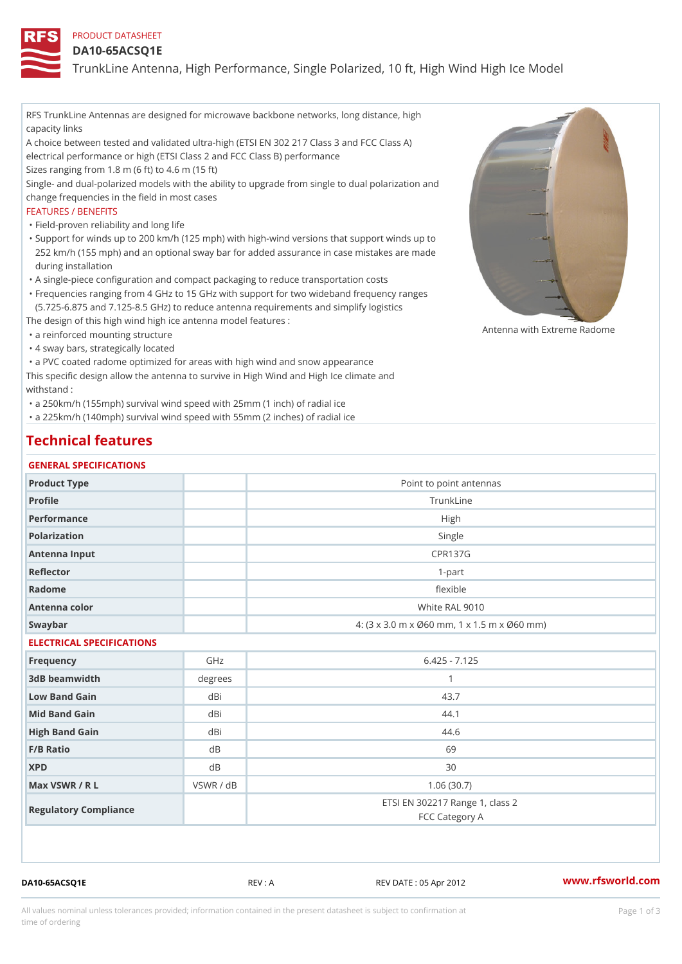## PRODUCT DATASHEET

### DA10-65ACSQ1E

TrunkLine Antenna, High Performance, Single Polarized, 10 ft, High Wi

RFS TrunkLine Antennas are designed for microwave backbone networks, long distance, high capacity links A choice between tested and validated ultra-high (ETSI EN 302 217 Class 3 and FCC Class A) electrical performance or high (ETSI Class 2 and FCC Class B) performance Sizes ranging from 1.8 m (6 ft) to 4.6 m (15 ft) Single- and dual-polarized models with the ability to upgrade from single to dual polarization and change frequencies in the field in most cases FEATURES / BENEFITS "Field-proven reliability and long life Support for winds up to 200 km/h (125 mph) with high-wind versions that support winds up to " 252 km/h (155 mph) and an optional sway bar for added assurance in case mistakes are made during installation "A single-piece configuration and compact packaging to reduce transportation costs Frequencies ranging from 4 GHz to 15 GHz with support for two wideband frequency ranges " (5.725-6.875 and 7.125-8.5 GHz) to reduce antenna requirements and simplify logistics The design of this high wind high ice antenna model features : "a reinforced mounting structure "4 sway bars, strategically located "a PVC coated radome optimized for areas with high wind and snow appearance This specific design allow the antenna to survive in High Wind and High Ice climate and withstand : Antenna with Extreme Radome

"a 250km/h (155mph) survival wind speed with 25mm (1 inch) of radial ice

"a 225km/h (140mph) survival wind speed with 55mm (2 inches) of radial ice

# Technical features

| GENERAL SPECIFICATIONS |                                             |  |  |
|------------------------|---------------------------------------------|--|--|
| Product Type           | Point to point antennas                     |  |  |
| Profile                | TrunkLine                                   |  |  |
| Performance            | High                                        |  |  |
| Polarization           | Single                                      |  |  |
| Antenna Input          | <b>CPR137G</b>                              |  |  |
| Reflector              | $1-part$                                    |  |  |
| Radome                 | flexible                                    |  |  |
| Antenna color          | White RAL 9010                              |  |  |
| Swaybar                | 4: (3 x 3.0 m x Ø60 mm, 1 x 1.5 m x Ø60 mm) |  |  |

## ELECTRICAL SPECIFICATIONS

| Frequency             | GHz       | $6.425 - 7.125$                                   |
|-----------------------|-----------|---------------------------------------------------|
| 3dB beamwidth         | degree    |                                                   |
| Low Band Gain         | dBi       | 43.7                                              |
| Mid Band Gain         | dBi       | 44.1                                              |
| High Band Gain        | dBi       | 44.6                                              |
| $F/B$ Ratio           | d B       | 69                                                |
| <b>XPD</b>            | d B       | 30                                                |
| Max VSWR / R L        | VSWR / dB | 1.06(30.7)                                        |
| Regulatory Compliance |           | ETSI EN 302217 Range 1, class 2<br>FCC Category A |

DA10-65ACSQ1E REV : A REV DATE : 05 Apr 2012 [www.](https://www.rfsworld.com)rfsworld.com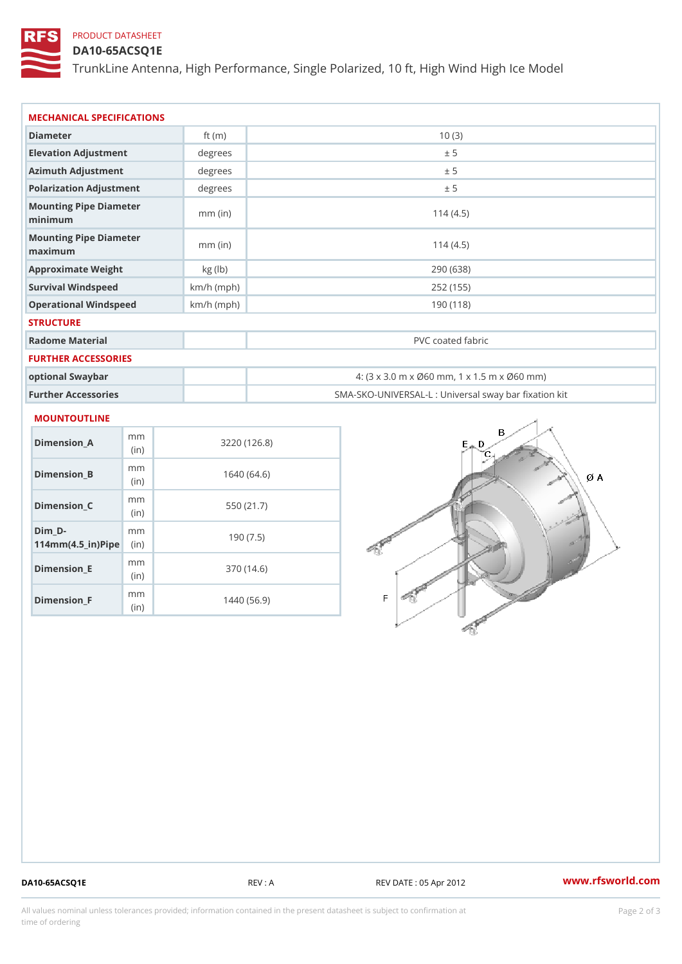# PRODUCT DATASHEET

## DA10-65ACSQ1E

TrunkLine Antenna, High Performance, Single Polarized, 10 ft, High Wi

| MECHANICAL SPECIFICATIONS                     |              |                                             |  |  |
|-----------------------------------------------|--------------|---------------------------------------------|--|--|
| Diameter                                      | ft $(m)$     | 10(3)                                       |  |  |
| Elevation Adjustment                          | degree       | ± 5                                         |  |  |
| Azimuth Adjustment                            | $degree$ :   | ± 5                                         |  |  |
| Polarization Adjustment                       | degree       | ± 5                                         |  |  |
| Mounting Pipe Diameter<br>minimaum            | $mm$ (in)    | 114(4.5)                                    |  |  |
| Mounting Pipe Diameter<br>$m$ a x i $m$ u $m$ | $mm$ (in)    | 114(4.5)                                    |  |  |
| Approximate Weight                            | kg (lb)      | 290 (638)                                   |  |  |
| Survival Windspeed                            | $km/h$ (mph) | 252 (155)                                   |  |  |
| Operational Windspeed                         | $km/h$ (mph) | 190 (118)                                   |  |  |
| <b>STRUCTURE</b>                              |              |                                             |  |  |
| Radome Material                               |              | PVC coated fabric                           |  |  |
| FURTHER ACCESSORIES                           |              |                                             |  |  |
| optional Swaybar                              |              | 4: (3 x 3.0 m x Ø60 mm, 1 x 1.5 m x Ø60 mm) |  |  |

| optional Swaybar    | 4: $(3 \times 3.0 \text{ m} \times \emptyset 60 \text{ mm}, 1 \times 1.5 \text{ m} \times \emptyset 60 \text{ mm})$ |
|---------------------|---------------------------------------------------------------------------------------------------------------------|
| Further Accessories | SMA-SKO-UNIVERSAL-L : Universal sway bar fixation                                                                   |

#### MOUNTOUTLINE

| Dimension A                                                 | m m<br>(i <sub>n</sub> ) | 3220(126.8) |
|-------------------------------------------------------------|--------------------------|-------------|
| Dimension B                                                 | m m<br>(i n)             | 1640 (64.6) |
| Dimension C                                                 | m m<br>(i n)             | 550 (21.7)  |
| Dim D-<br>$114$ m m (4.5 _ ir) $\mathbb{R}$ im $\mathbb{R}$ | m m                      | 190(7.5)    |
| Dimension E                                                 | m m<br>(i n)             | 370 (14.6)  |
| $Dimension_F$                                               | m m<br>(in)              | 1440 (56.9) |

DA10-65ACSQ1E REV : A REV DATE : 05 Apr 2012 [www.](https://www.rfsworld.com)rfsworld.com